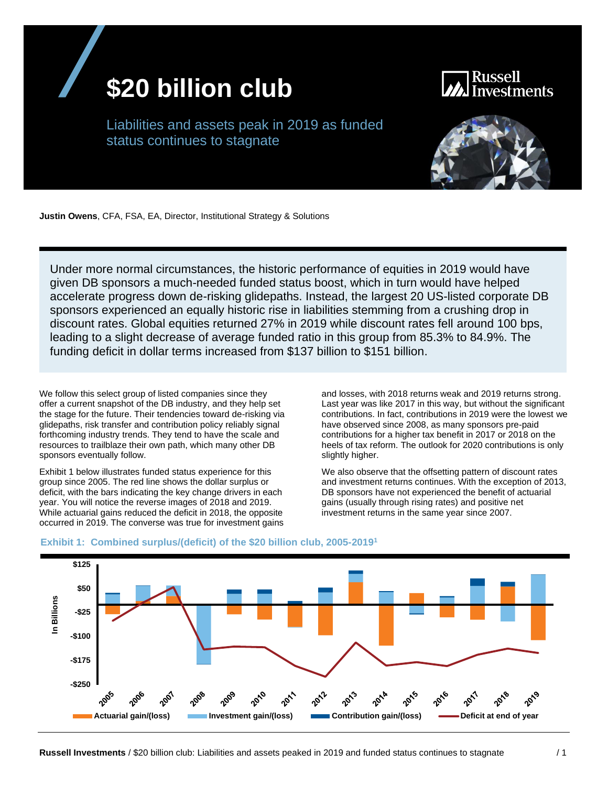

Russell vestments

Liabilities and assets peak in 2019 as funded status continues to stagnate



**Justin Owens**, CFA, FSA, EA, Director, Institutional Strategy & Solutions

Under more normal circumstances, the historic performance of equities in 2019 would have given DB sponsors a much-needed funded status boost, which in turn would have helped accelerate progress down de-risking glidepaths. Instead, the largest 20 US-listed corporate DB sponsors experienced an equally historic rise in liabilities stemming from a crushing drop in discount rates. Global equities returned 27% in 2019 while discount rates fell around 100 bps, leading to a slight decrease of average funded ratio in this group from 85.3% to 84.9%. The funding deficit in dollar terms increased from \$137 billion to \$151 billion.

We follow this select group of listed companies since they offer a current snapshot of the DB industry, and they help set the stage for the future. Their tendencies toward de-risking via glidepaths, risk transfer and contribution policy reliably signal forthcoming industry trends. They tend to have the scale and resources to trailblaze their own path, which many other DB sponsors eventually follow.

Exhibit 1 below illustrates funded status experience for this group since 2005. The red line shows the dollar surplus or deficit, with the bars indicating the key change drivers in each year. You will notice the reverse images of 2018 and 2019. While actuarial gains reduced the deficit in 2018, the opposite occurred in 2019. The converse was true for investment gains and losses, with 2018 returns weak and 2019 returns strong. Last year was like 2017 in this way, but without the significant contributions. In fact, contributions in 2019 were the lowest we have observed since 2008, as many sponsors pre-paid contributions for a higher tax benefit in 2017 or 2018 on the heels of tax reform. The outlook for 2020 contributions is only slightly higher.

We also observe that the offsetting pattern of discount rates and investment returns continues. With the exception of 2013, DB sponsors have not experienced the benefit of actuarial gains (usually through rising rates) and positive net investment returns in the same year since 2007.



#### **Exhibit 1: Combined surplus/(deficit) of the \$20 billion club, 2005-2019 1**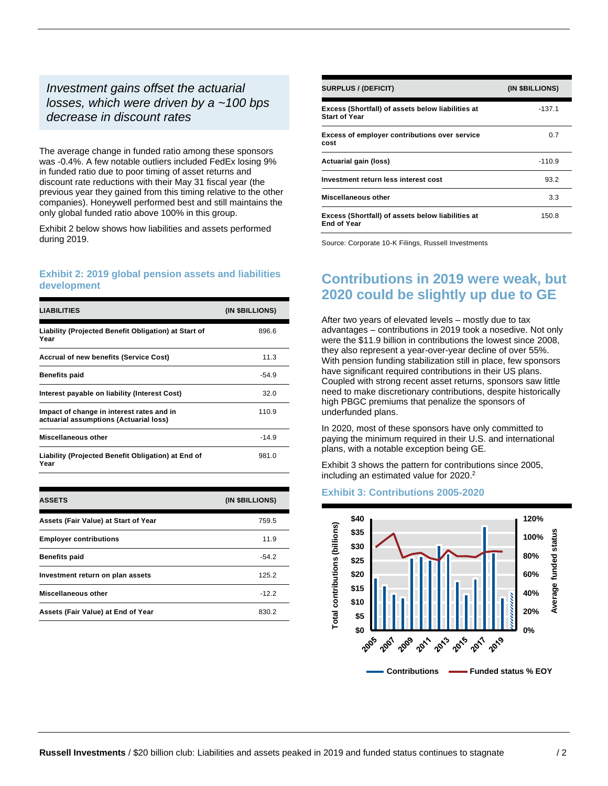#### *Investment gains offset the actuarial losses, which were driven by a ~100 bps decrease in discount rates*

The average change in funded ratio among these sponsors was -0.4%. A few notable outliers included FedEx losing 9% in funded ratio due to poor timing of asset returns and discount rate reductions with their May 31 fiscal year (the previous year they gained from this timing relative to the other companies). Honeywell performed best and still maintains the only global funded ratio above 100% in this group.

Exhibit 2 below shows how liabilities and assets performed during 2019.

#### **Exhibit 2: 2019 global pension assets and liabilities development**

| <b>LIABILITIES</b>                                                                  | (IN \$BILLIONS) |
|-------------------------------------------------------------------------------------|-----------------|
| Liability (Projected Benefit Obligation) at Start of<br>Year                        | 896.6           |
| <b>Accrual of new benefits (Service Cost)</b>                                       | 11.3            |
| <b>Benefits paid</b>                                                                | $-54.9$         |
| Interest payable on liability (Interest Cost)                                       | 32.0            |
| Impact of change in interest rates and in<br>actuarial assumptions (Actuarial loss) | 110.9           |
| Miscellaneous other                                                                 | $-14.9$         |
| Liability (Projected Benefit Obligation) at End of<br>Year                          | 981.0           |

| <b>ASSETS</b>                        | (IN \$BILLIONS) |
|--------------------------------------|-----------------|
| Assets (Fair Value) at Start of Year | 759.5           |
| <b>Employer contributions</b>        | 11.9            |
| <b>Benefits paid</b>                 | $-54.2$         |
| Investment return on plan assets     | 125.2           |
| Miscellaneous other                  | $-12.2$         |
| Assets (Fair Value) at End of Year   | 830.2           |

| <b>SURPLUS / (DEFICIT)</b>                                                | (IN \$BILLIONS) |
|---------------------------------------------------------------------------|-----------------|
| Excess (Shortfall) of assets below liabilities at<br><b>Start of Year</b> | $-137.1$        |
| <b>Excess of employer contributions over service</b><br>cost              | 0.7             |
| Actuarial gain (loss)                                                     | $-110.9$        |
| Investment return less interest cost                                      | 93.2            |
| Miscellaneous other                                                       | 3.3             |
| Excess (Shortfall) of assets below liabilities at<br><b>End of Year</b>   | 150.8           |

Source: Corporate 10-K Filings, Russell Investments

## **Contributions in 2019 were weak, but 2020 could be slightly up due to GE**

After two years of elevated levels – mostly due to tax advantages – contributions in 2019 took a nosedive. Not only were the \$11.9 billion in contributions the lowest since 2008, they also represent a year-over-year decline of over 55%. With pension funding stabilization still in place, few sponsors have significant required contributions in their US plans. Coupled with strong recent asset returns, sponsors saw little need to make discretionary contributions, despite historically high PBGC premiums that penalize the sponsors of underfunded plans.

In 2020, most of these sponsors have only committed to paying the minimum required in their U.S. and international plans, with a notable exception being GE.

Exhibit 3 shows the pattern for contributions since 2005, including an estimated value for 2020. 2

#### **Exhibit 3: Contributions 2005-2020**

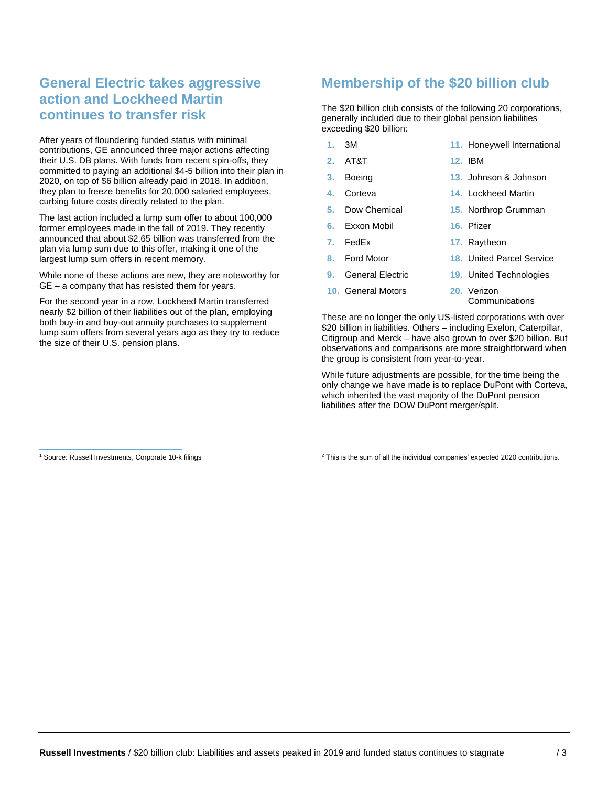# **General Electric takes aggressive action and Lockheed Martin continues to transfer risk**

After years of floundering funded status with minimal contributions, GE announced three major actions affecting their U.S. DB plans. With funds from recent spin-offs, they committed to paying an additional \$4-5 billion into their plan in 2020, on top of \$6 billion already paid in 2018. In addition, they plan to freeze benefits for 20,000 salaried employees, curbing future costs directly related to the plan.

The last action included a lump sum offer to about 100,000 former employees made in the fall of 2019. They recently announced that about \$2.65 billion was transferred from the plan via lump sum due to this offer, making it one of the largest lump sum offers in recent memory.

While none of these actions are new, they are noteworthy for GE – a company that has resisted them for years.

For the second year in a row, Lockheed Martin transferred nearly \$2 billion of their liabilities out of the plan, employing both buy-in and buy-out annuity purchases to supplement lump sum offers from several years ago as they try to reduce the size of their U.S. pension plans.

### **Membership of the \$20 billion club**

The \$20 billion club consists of the following 20 corporations, generally included due to their global pension liabilities exceeding \$20 billion:

- **1.** 3M
- **2.** AT&T
- **3.** Boeing
- **4.** Corteva
- **5.** Dow Chemical
- **6.** Exxon Mobil
- **7.** FedEx
- **8.** Ford Motor
- **9.** General Electric
- **10.** General Motors
- **11.** Honeywell International
- **12.** IBM
- **13.** Johnson & Johnson
- **14.** Lockheed Martin
- **15.** Northrop Grumman
- **16.** Pfizer
- **17.** Raytheon
- **18.** United Parcel Service
	- **19.** United Technologies
- **20.** Verizon **Communications**

These are no longer the only US-listed corporations with over \$20 billion in liabilities. Others – including Exelon, Caterpillar, Citigroup and Merck – have also grown to over \$20 billion. But observations and comparisons are more straightforward when the group is consistent from year-to-year.

While future adjustments are possible, for the time being the only change we have made is to replace DuPont with Corteva, which inherited the vast majority of the DuPont pension liabilities after the DOW DuPont merger/split.

<sup>1</sup> Source: Russell Investments, Corporate 10-k filings

<sup>2</sup> This is the sum of all the individual companies' expected 2020 contributions.